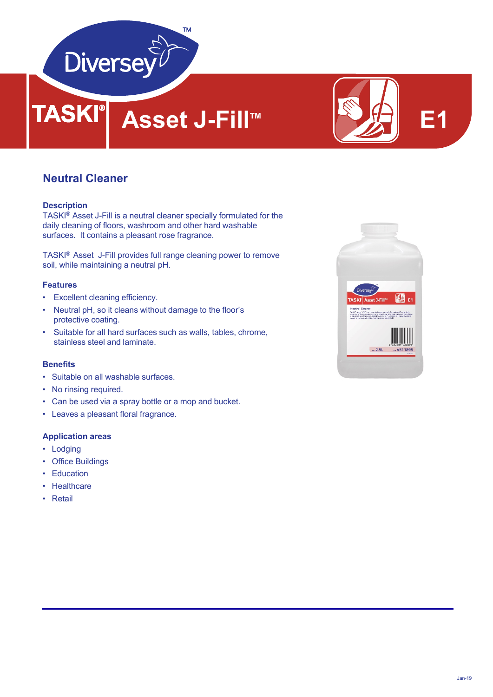

# **TASKI®** Asset J-Fill™



## **Neutral Cleaner**

## **Description**

TASKI® Asset J-Fill is a neutral cleaner specially formulated for the daily cleaning of floors, washroom and other hard washable surfaces. It contains a pleasant rose fragrance.

TASKI® Asset J-Fill provides full range cleaning power to remove soil, while maintaining a neutral pH.

## **Features**

- Excellent cleaning efficiency.
- Neutral pH, so it cleans without damage to the floor's protective coating.
- Suitable for all hard surfaces such as walls, tables, chrome, stainless steel and laminate.

## **Benefits**

- Suitable on all washable surfaces.
- No rinsing required.
- Can be used via a spray bottle or a mop and bucket.
- Leaves a pleasant floral fragrance.

## **Application areas**

- Lodging
- Office Buildings
- Education
- Healthcare
- Retail